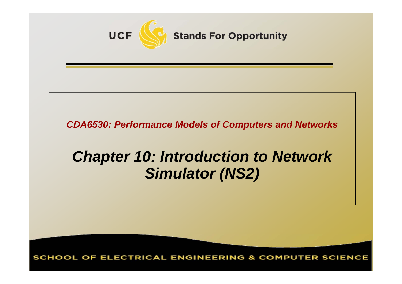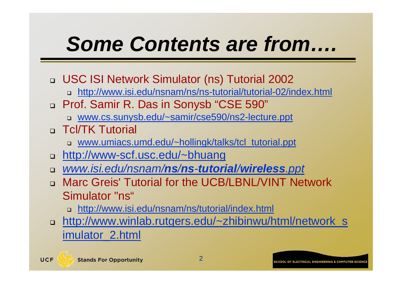# *Some Contents are from….*

- USC ISI Network Simulator (ns) Tutorial 2002
	- http://www.isi.edu/nsnam/ns/ns-tutorial/tutorial-02/index.html
- Prof. Samir R. Das in Sonysb "CSE 590"
	- www.cs.sunysb.edu/~samir/cse590/ns2-lecture.ppt
- Tcl/TK Tutorial
	- www.umiacs.umd.edu/~hollingk/talks/tcl\_tutorial.ppt
- http://www-scf.usc.edu/~bhuang
- *www.isi.edu/nsnam/ns/ns -tutorial/wireless.ppt*
- Marc Greis' Tutorial for the UCB/LBNL/VINT Network Simulator "ns"
	- http://www.isi.edu/nsnam/ns/tutorial/index.html
- http://www.winlab.rutgers.edu/~zhibinwu/html/network\_s imulator\_2.html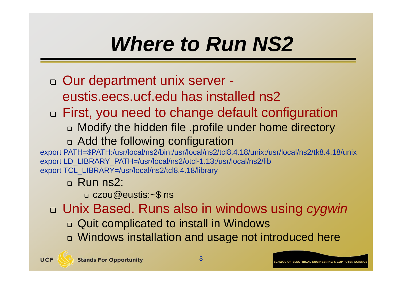# *Where to Run NS2*

- □ Our department unix server eustis.eecs.ucf.edu has installed ns2
- First, you need to change default configuration
	- Modify the hidden file .profile under home directory
	- Add the following configuration

export PATH=\$PATH:/usr/local/ns2/bin:/usr/local/ns2/tcl8.4.18/unix:/usr/local/ns2/tk8.4.18/unix export LD\_LIBRARY\_PATH=/usr/local/ns2/otcl-1.13:/usr/local/ns2/lib export TCL\_LIBRARY=/usr/local/ns2/tcl8.4.18/library

#### Run ns2:

czou@eustis:~\$ ns

Unix Based. Runs also in windows using *cygwin*

- □ Quit complicated to install in Windows
- Windows installation and usage not introduced here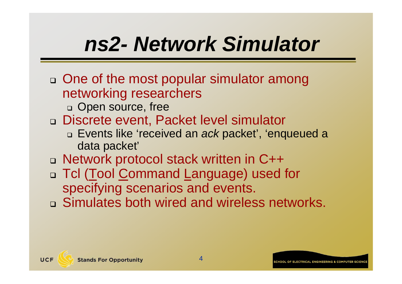# *ns2- Network Simulator*

- □ One of the most popular simulator among networking researchers
	- □ Open source, free
- □ Discrete event, Packet level simulator
	- Events like 'received an *ack* packet', 'enqueued a data packet'
- □ Network protocol stack written in C++
- □ Tcl (Tool <u>C</u>ommand Language) used for specifying scenarios and events.
- □ Simulates both wired and wireless networks.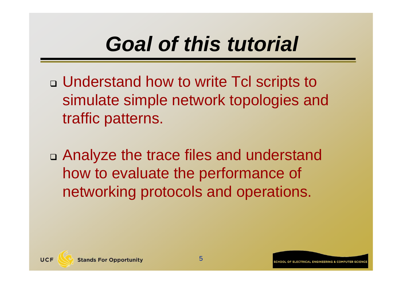# *Goal of this tutorial*

- □ Understand how to write Tcl scripts to simulate simple network topologies and traffic patterns.
- Analyze the trace files and understand how to evaluate the performance of networking protocols and operations.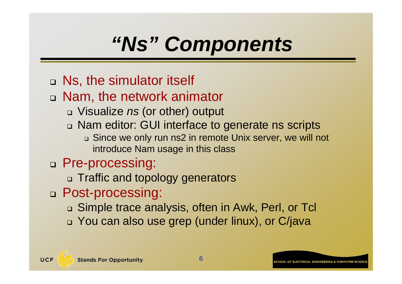# *"Ns" Components*

- Ns, the simulator itself
- Nam, the network animator
	- Visualize *ns* (or other) output
	- □ Nam editor: GUI interface to generate ns scripts

 Since we only run ns2 in remote Unix server, we will not introduce Nam usage in this class

#### Pre-processing:

- Traffic and topology generators
- Post-processing:
	- Simple trace analysis, often in Awk, Perl, or Tcl
	- You can also use grep (under linux), or C/java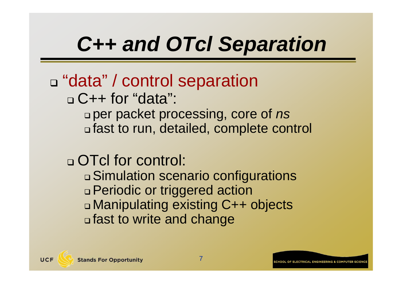# *C++ and OTcl Separation*

#### □ "data" / control separation □ C++ for "data": per packet processing, core of *ns* fast to run, detailed, complete control

### □ OTcl for control:

 Simulation scenario configurations Periodic or triggered action Manipulating existing C++ objects fast to write and change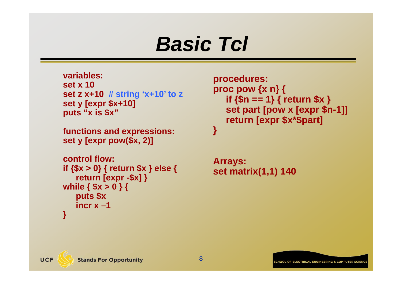### *Basic Tcl*

**variables:set x 10set z x+10 # string 'x+10' to z set y [expr \$x+10] puts "x is \$x"**

```
functions and expressions:
set y [expr pow($x, 2)]
```

```
control flow:if {$x > 0} { return $x } else {
   return [expr -$x] }
while { $x > 0 } {
   puts $x
   incr x –1}
```

```
procedures:
proc pow {x n} {
  if {$n == 1} { return $x }
  set part [pow x [expr $n-1]]
  return [expr $x*$part]
}
```

```
Arrays:
set matrix(1,1) 140
```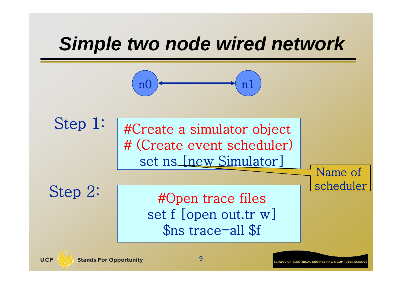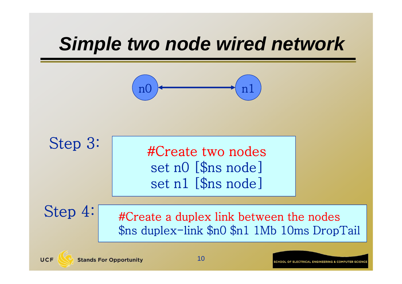### *Simple two node wired network*

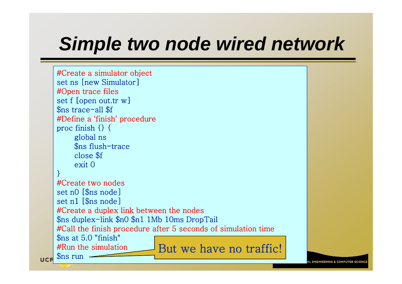### *Simple two node wired network*

```
#Create a simulator object
    set ns [new Simulator]
    #Open trace files
    set f [open out.tr w]
    $ns trace-all $f
    #Define a 'finish' procedure
    proc finish \{\} {
         global ns
         $ns flush-trace
         close $f
         exit 0}
    #Create two nodesset n0 [$ns node]
    set n1 [$ns node]
    #Create a duplex link between the nodes
    $ns duplex-link $n0 $n1 1Mb 10ms DropTail
    #Call the finish procedure after 5 seconds of simulation time
    $ns at 5.0 "finish"
    #Run the simulation#Run the simulation But we have no traffic!
                                          11UCF
```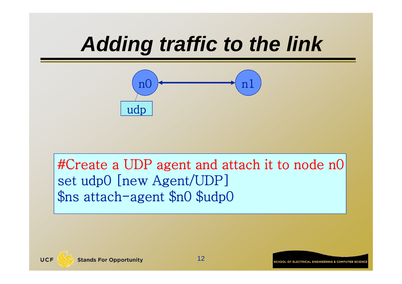![](_page_11_Figure_1.jpeg)

#Create a UDP agent and attach it to node n0 set udp0 [new Agent/UDP] \$ns attach-agent \$n0 \$udp0

UCF

12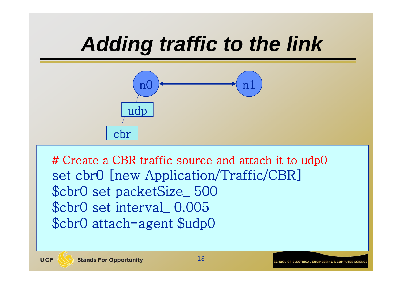![](_page_12_Figure_1.jpeg)

# Create a CBR traffic source and attach it to udp0 set cbr0 [new Application/Traffic/CBR] \$cbr0 set packetSize\_ 500 \$cbr0 set interval\_ 0.005 \$cbr0 attach-agent \$udp0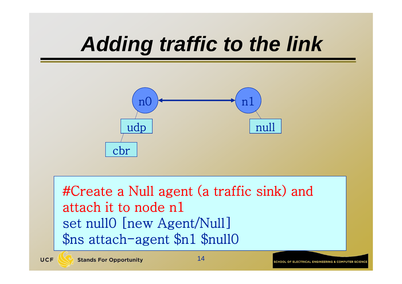![](_page_13_Figure_1.jpeg)

#Create a Null agent (a traffic sink) and attach it to node n1set null0 [new Agent/Null] \$ns attach-agent \$n1 \$null0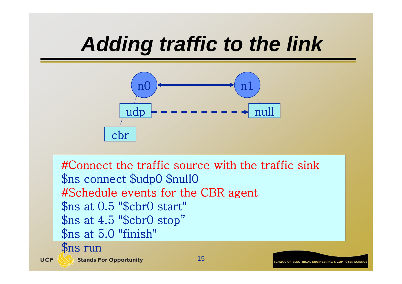![](_page_14_Figure_1.jpeg)

#Connect the traffic source with the traffic sink \$ns connect \$udp0 \$null0 #Schedule events for the CBR agent \$ns at 0.5 "\$cbr0 start" \$ns at 4.5 "\$cbr0 stop" \$ns at 5.0 "finish"

\$ns run

UCF

**Stands For Opportunity** 

15

![](_page_14_Picture_6.jpeg)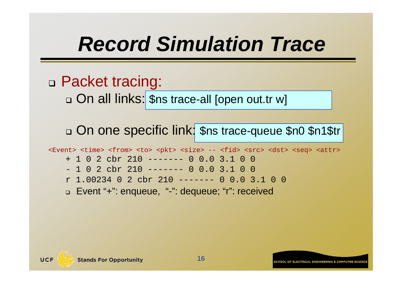# *Record Simulation Trace*

#### Packet tracing:

On all links: \$ns trace-all [open out.tr w]

#### □ On one specific link: \$ns trace-queue \$n0 \$n1\$tr

<Event> <time> <from> <to> <pkt> <size> -- <fid> <src> <dst> <seq> <attr>

- + 1 0 2 cbr 210 ------- 0 0.0 3.1 0 0
- 1 0 2 cbr 210 ------- 0 0.0 3.1 0 0
- r 1.00234 0 2 cbr 210 ------- 0 0.0 3.1 0 0
- Event "+": enqueue, "-": dequeue; "r": received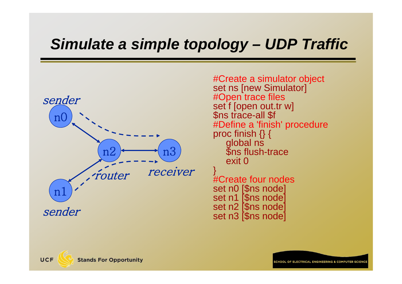![](_page_16_Figure_1.jpeg)

#Create a simulator object set ns [new Simulator] #Open trace files set f [open out.tr w]<br>\$ns trace-all \$f #Define a 'finish' procedure proc finish {} {<br>global ns  $$$ ns flush-trace exit 0}

#Create four nodes set n0 [\$ns node]<br>set n1 [\$ns node]<br>set n2 [\$ns node]<br>set n3 [\$ns node]

**CHOOL OF ELECTRICAL ENGINEERING & COMPUTER SCIEN**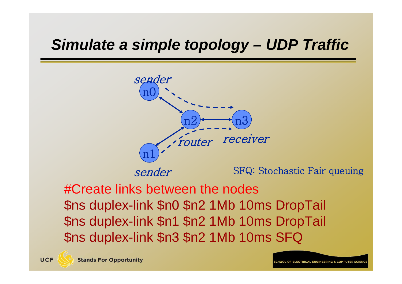![](_page_17_Figure_1.jpeg)

#Create links between the nodes \$ns duplex-link \$n0 \$n2 1Mb 10ms DropTail \$ns duplex-link \$n1 \$n2 1Mb 10ms DropTail \$ns duplex-link \$n3 \$n2 1Mb 10ms SFQ

ELECTDICAL ENGINEEDING & COMBITED SCIE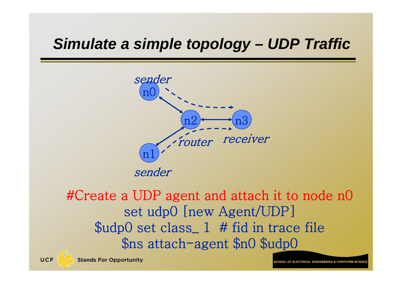![](_page_18_Figure_1.jpeg)

#### #Create a UDP agent and attach it to node n0 set udp0 [new Agent/UDP] \$udp0 set class\_ 1 # fid in trace file \$ns attach-agent \$n0 \$udp0

ELECTRICAL ENGINEEDING & COMBUTER SCIE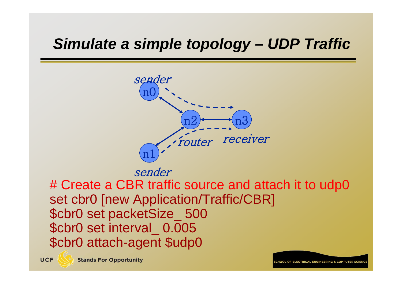![](_page_19_Figure_1.jpeg)

sender

# Create a CBR traffic source and attach it to udp0 set cbr0 [new Application/Traffic/CBR] \$cbr0 set packetSize\_ 500 \$cbr0 set interval\_ 0.005 \$cbr0 attach-agent \$udp0

OF FLECTRICAL ENGINEERING & COMPUTER SCIENCE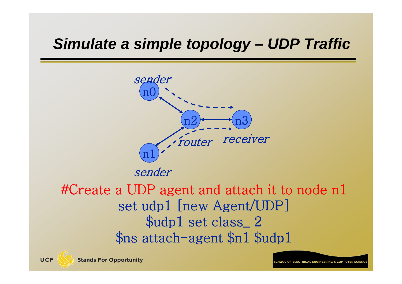![](_page_20_Figure_1.jpeg)

#### #Create a UDP agent and attach it to node n1 set udp1 [new Agent/UDP] \$udp1 set class\_ 2 \$ns attach-agent \$n1 \$udp1

ELECTRICAL ENGINEEDING & COMBUTER SCIE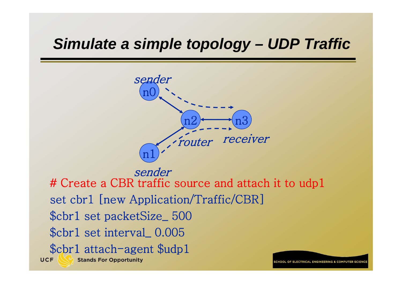![](_page_21_Figure_1.jpeg)

sender # Create a CBR traffic source and attach it to udp1 set cbr1 [new Application/Traffic/CBR] \$cbr1 set packetSize\_ 500 \$cbr1 set interval\_ 0.005 \$cbr1 attach-agent \$udp1 UCF **Stands For Opportunity** 

OF ELECTRICAL ENGINEERING & COMBITER SCI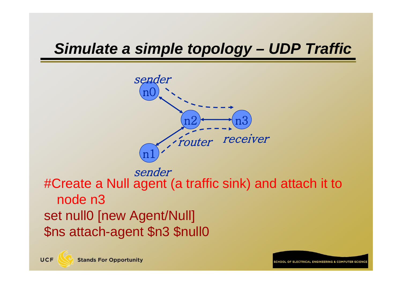![](_page_22_Figure_1.jpeg)

#Create a Null agent (a traffic sink) and attach it to node n3set null0 [new Agent/Null] \$ns attach-agent \$n3 \$null0 sender

OF ELECTRICAL ENGINEERING & COMPUTER SCIE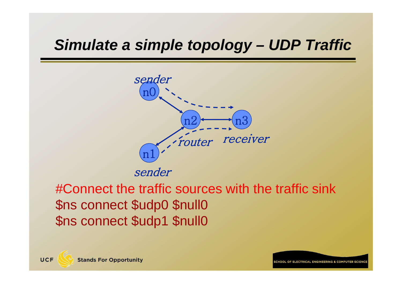![](_page_23_Figure_1.jpeg)

#Connect the traffic sources with the traffic sink \$ns connect \$udp0 \$null0 \$ns connect \$udp1 \$null0

UCF

OF ELECTRICAL ENGINEEDING & COMBUTED SCIE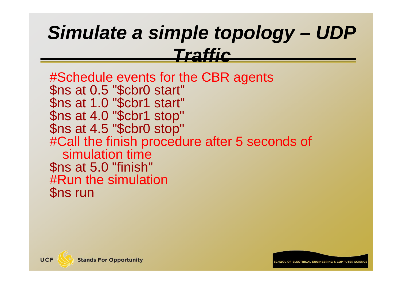#Schedule events for the CBR agents \$ns at 0.5 "\$cbr0 start" \$ns at 1.0 "\$cbr1 start" \$ns at 4.0 "\$cbr1 stop" \$ns at 4.5 "\$cbr0 stop" #Call the finish procedure after 5 seconds of simulation time\$ns at 5.0 "finish" #Run the simulation\$ns run

![](_page_24_Picture_2.jpeg)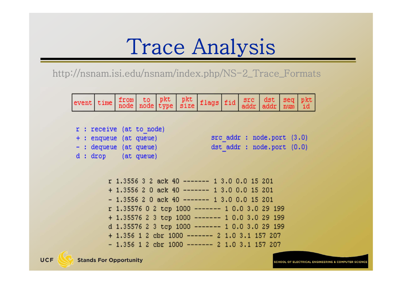### Trace Analysis

http://nsnam.isi.edu/nsnam/index.php/NS-2\_Trace\_Formats

|  |  |  | event time from to pkt pkt flags fid src dst seq pkt |  |  |  |
|--|--|--|------------------------------------------------------|--|--|--|
|  |  |  |                                                      |  |  |  |

|  |                          | $r$ : receive (at to node) |  |                           |  |
|--|--------------------------|----------------------------|--|---------------------------|--|
|  | + : enqueue (at queue)   |                            |  | src addr : nodeport (3.0) |  |
|  | $-$ : dequeue (at queue) |                            |  | dst addr : nodeport (0.0) |  |
|  | d dron (at meue)         |                            |  |                           |  |

```
r 1.3556 3 2 ack 40 ------ 1 3.0 0.0 15 201
+1.3556 2 0 ack 40 ------ 1 3.0 0.0 15 201
-1.3556 2 0 ack 40 ------ 1 3.0 0.0 15 201
r 1.35576 0 2 tcp 1000 ------- 1 0.0 3.0 29 199
+ 1.35576 2 3 tcp 1000 ------- 1 0.0 3.0 29 199
d 1.35576 2 3 tcp 1000 ------- 1 0.0 3.0 29 199
+1.356 1 2 cbr 1000 ------- 2 1.0 3.1 157 207
-1.356 1 2 cbr 1000 ------- 2 1.0 3.1 157 207
```
**SCHOOL OF ELECTRICAL ENGINEERING & COMPUTER SCIEN**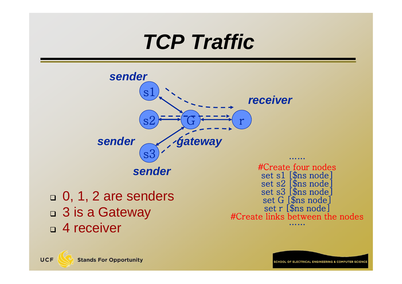![](_page_26_Figure_0.jpeg)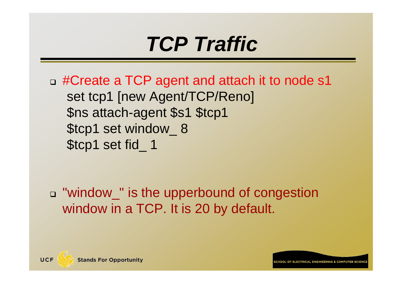□ #Create a TCP agent and attach it to node s1 set tcp1 [new Agent/TCP/Reno] \$ns attach-agent \$s1 \$tcp1 \$tcp1 set window\_ 8 \$tcp1 set fid\_ 1

□ "window\_" is the upperbound of congestion window in a TCP. It is 20 by default.

ELECTDICAL ENGINEEDING & COMBLITED SC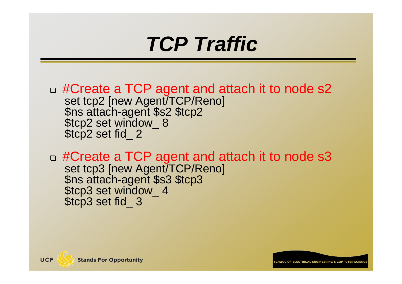- □ #Create a TCP agent and attach it to node s2 set tcp2 [new Agent/TCP/Reno]<br>\$ns attach-agent \$s2 \$tcp2<br>\$tcp2 set window\_ 8<br>\$tcp2 set fid\_ 2
- □ #Create a TCP agent and attach it to node s3 set tcp3 [new Agent/TCP/Reno]<br>\$ns attach-agent \$s3 \$tcp3<br>\$tcp3 set window\_ 4<br>\$tcp3 set fid\_ 3

![](_page_28_Picture_3.jpeg)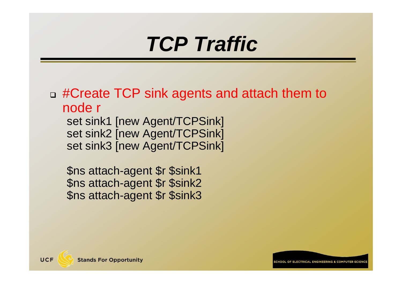□ #Create TCP sink agents and attach them to node r

set sink1 [new Agent/TCPSink] set sink2 [new Agent/TCPSink] set sink3 [new Agent/TCPSink]

\$ns attach-agent \$r \$sink1 \$ns attach-agent \$r \$sink2 \$ns attach-agent \$r \$sink3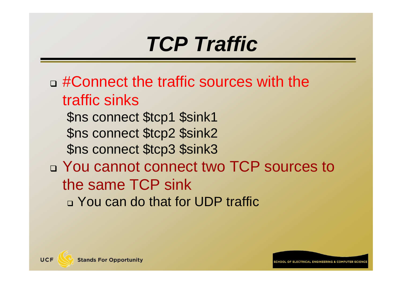- □ #Connect the traffic sources with the traffic sinks
	- \$ns connect \$tcp1 \$sink1 \$ns connect \$tcp2 \$sink2 \$ns connect \$tcp3 \$sink3
- □ You cannot connect two TCP sources to the same TCP sink You can do that for UDP traffic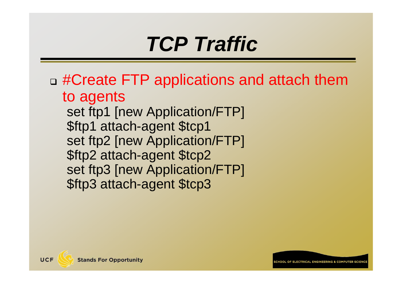□ #Create FTP applications and attach them to agents

set ftp1 [new Application/FTP] \$ftp1 attach-agent \$tcp1 set ftp2 [new Application/FTP] \$ftp2 attach-agent \$tcp2 set ftp3 [new Application/FTP] \$ftp3 attach-agent \$tcp3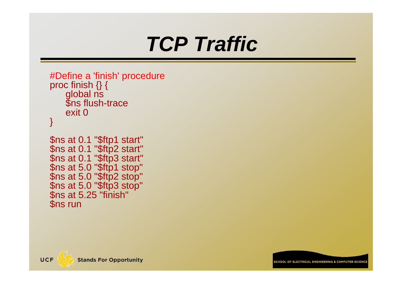```
#Define a 'finish' procedure
proc finish {} {<br>global ns
     $ns flush-trace
     exit 0}
```

```
$ns at 0.1 "$ftp1 start"<br>$ns at 0.1 "$ftp2 start"<br>$ns at 0.1 "$ftp3 start"<br>$ns at 5.0 "$ftp1 stop"<br>$ns at 5.0 "$ftp2 stop"<br>$ns at 5.0 "$ftp3 stop"<br>$ns at 5.25 "finish"
  $ns run
```
![](_page_32_Picture_3.jpeg)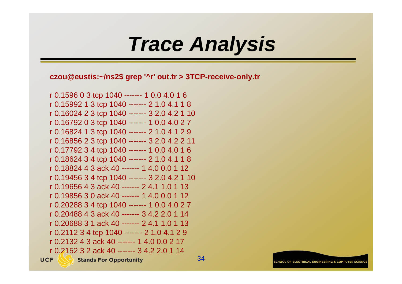### *Trace Analysis*

**czou@eustis:~/ns2\$ grep '^r' out.tr > 3TCP-receive-only.tr**

r 0.1596 0 3 tcp 1040 ------- 1 0.0 4.0 1 6 r 0.15992 1 3 tcp 1040 ------- 2 1.0 4.1 1 8 r 0.16024 2 3 tcp 1040 ------- 3 2.0 4.2 1 10 r 0.16792 0 3 tcp 1040 ------- 1 0.0 4.0 2 7 r 0.16824 1 3 tcp 1040 ------- 2 1.0 4.1 2 9 r 0.16856 2 3 tcp 1040 ------- 3 2.0 4.2 2 11 r 0.17792 3 4 tcp 1040 ------- 1 0.0 4.0 1 6 r 0.18624 3 4 tcp 1040 ------- 2 1.0 4.1 1 8 r 0.18824 4 3 ack 40 ------- 1 4.0 0.0 1 12r 0.19456 3 4 tcp 1040 ------- 3 2.0 4.2 1 10 r 0.19656 4 3 ack 40 ------- 2 4.1 1.0 1 13r 0.19856 3 0 ack 40 ------- 1 4.0 0.0 1 12r 0.20288 3 4 tcp 1040 ------- 1 0.0 4.0 2 7 r 0.20488 4 3 ack 40 ------- 3 4.2 2.0 1 14r 0.20688 3 1 ack 40 ------- 2 4.1 1.0 1 13r 0.2112 3 4 tcp 1040 ------- 2 1.0 4.1 2 9 r 0.2132 4 3 ack 40 ------- 1 4.0 0.0 2 17r 0.2152 3 2 ack 40 ------- 3 4.2 2.0 1 14**UCF Stands For Opportunity**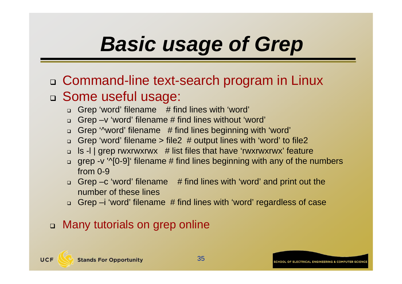# *Basic usage of Grep*

- Command-line text-search program in Linux □ Some useful usage:
	- □ Grep 'word' filename # find lines with 'word'
	- Grep –v 'word' filename # find lines without 'word'
	- □ Grep '^word' filename # find lines beginning with 'word'
	- □ Grep 'word' filename > file2 # output lines with 'word' to file2
	- □ ls -l | grep rwxrwxrwx # list files that have 'rwxrwxrwx' feature
	- □ grep -v '^[0-9]' filename # find lines beginning with any of the numbers from 0-9
	- □ Grep –c 'word' filename # find lines with 'word' and print out the number of these lines
	- Grep –i 'word' filename # find lines with 'word' regardless of case

#### Many tutorials on grep online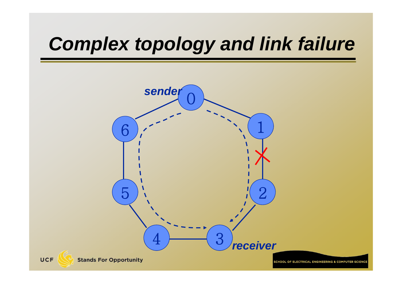![](_page_35_Figure_1.jpeg)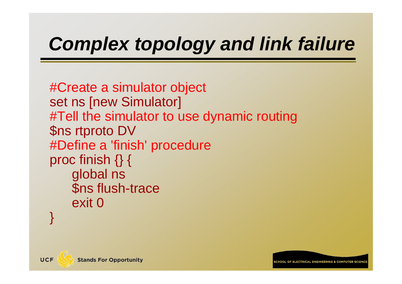#Create a simulator object set ns [new Simulator] #Tell the simulator to use dynamic routing \$ns rtproto DV #Define a 'finish' procedure proc finish  $\{\}$  { global ns \$ns flush-trace exit 0}

![](_page_36_Picture_2.jpeg)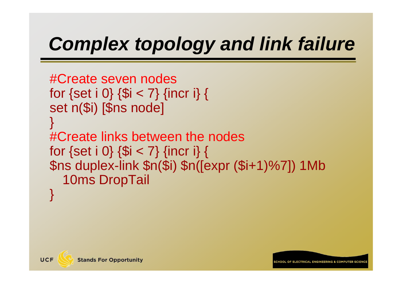```
#Create seven nodes
for \{set i \ 0\} \{Si < 7\} {incr i} {
set n($i) [$ns node]
}
#Create links between the nodes
for \{set i \ 0\} \{Si < 7\} {incr i} {
$ns duplex-link $n($i) $n([expr ($i+1)%7]) 1Mb 
  10ms DropTail
}
```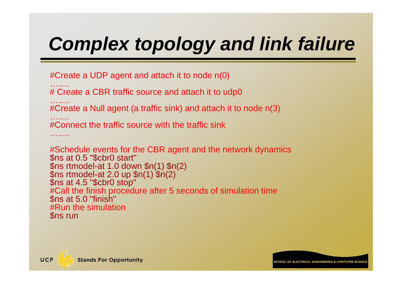```
#Create a UDP agent and attach it to node n(0)
…….# Create a CBR traffic source and attach it to udp0
…….#Create a Null agent (a traffic sink) and attach it to node n(3)
…….#Connect the traffic source with the traffic sink…….#Schedule events for the CBR agent and the network dynamics $ns at 0.5 "$cbr0 start"
$ns rtmodel-at 1.0 down $n(1) $n(2)<br>$ns rtmodel-at 2.0 up $n(1) $n(2)<br>$ns at 4.5 "$cbr0 stop"
```
#Call the finish procedure after 5 seconds of simulation time \$ns at 5.0 "finish" #Run the simulation

\$ns run

![](_page_38_Picture_4.jpeg)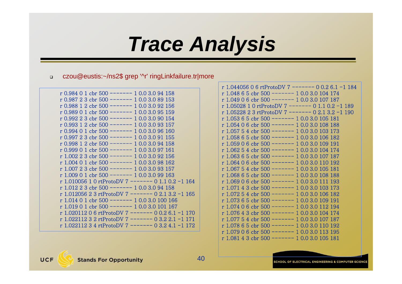### *Trace Analysis*

#### $\Box$ czou@eustis:~/ns2\$ grep '^r' ringLinkfailure.tr|more

| r 0.984 0 1 cbr 500 ------- 1 0.0 3.0 94 158        |
|-----------------------------------------------------|
| r 0.987 2 3 cbr 500 ------- 1 0.0 3.0 89 153        |
| r 0.988 1 2 cbr 500 ------- 1 0.0 3.0 92 156        |
| r 0.989 0 1 cbr 500 ------- 1 0.0 3.0 95 159        |
| r 0.992 2 3 cbr 500 ------- 1 0.0 3.0 90 154        |
| r 0.993 1 2 cbr 500 ------- 1 0.0 3.0 93 157        |
| r 0.994 0 1 cbr 500 ------- 1 0.0 3.0 96 160        |
| r 0.997 2 3 cbr 500 ------- 1 0.0 3.0 91 155        |
| r 0.998 1 2 cbr 500 ------- 1 0.0 3.0 94 158        |
| r 0.999 0 1 cbr 500 ------- 1 0.0 3.0 97 161        |
| r 1.002 2 3 cbr 500 ------- 1 0.0 3.0 92 156        |
| r 1.004 0 1 cbr 500 ------- 1 0.0 3.0 98 162        |
| r 1.007 2 3 cbr 500 ------- 1 0.0 3.0 93 157        |
| r 1.009 0 1 cbr 500 ------- 1 0.0 3.0 99 163        |
| r 1.010056 1 0 rtProtoDV 7 ------- 0 1.1 0.2 -1 164 |
| r 1.012 2 3 cbr 500 ------- 1 0.0 3.0 94 158        |
| r 1.012056 2 3 rtProtoDV 7 ------- 0 2.1 3.2 -1 165 |
| r 1.014 0 1 cbr 500 ------- 1 0.0 3.0 100 166       |
| $r$ 1.019 0 1 cbr 500 ------- 1 0.0 3.0 101 167     |
| r 1.020112 0 6 rtProtoDV 7 ------- 0 0.2 6.1 -1 170 |
| r 1.022112 3 2 rtProtoDV 7 ------- 0 3.2 2.1 -1 171 |
| r 1.022112 3 4 rtProtoDV 7 ------- 0 3.2 4.1 -1 172 |
|                                                     |

| r 1.044056 0 6 rtProtoDV 7 ------- 0 0.2 6.1 -1 184 |
|-----------------------------------------------------|
| r 1.048 6 5 cbr 500 ------- 1 0.0 3.0 104 174       |
| r 1.049 0 6 cbr 500 ------- 1 0.0 3.0 107 187       |
| r 1.05028 1 0 rtProtoDV 7 ------- 0 1.1 0.2 -1 189  |
| r 1.05228 2 3 rtProtoDV 7 ------- 0 2.1 3.2 -1 190  |
| r 1.053 6 5 cbr 500 ------- 1 0.0 3.0 105 181       |
| r 1.054 0 6 cbr 500 ------- 1 0.0 3.0 108 188       |
| r 1.057 5 4 cbr 500 ------- 1 0.0 3.0 103 173       |
| r 1.058 6 5 cbr 500 ------- 1 0.0 3.0 106 182       |
| r 1.059 0 6 cbr 500 ------- 1 0.0 3.0 109 191       |
| r 1.062 5 4 cbr 500 ------- 1 0.0 3.0 104 174       |
| r 1.063 6 5 cbr 500 ------- 1 0.0 3.0 107 187       |
| r 1.064 0 6 cbr 500 ------- 1 0.0 3.0 110 192       |
| r 1.067 5 4 cbr 500 ------- 1 0.0 3.0 105 181       |
| r 1.068 6 5 cbr 500 ------- 1 0.0 3.0 108 188       |
| r 1.069 0 6 cbr 500 ------- 1 0.0 3.0 111 193       |
| r 1.071 4 3 cbr 500 ------- 1 0.0 3.0 103 173       |
| r 1.072 5 4 cbr 500 ------- 1 0.0 3.0 106 182       |
| r 1.073 6 5 cbr 500 ------- 1 0.0 3.0 109 191       |
| r 1.074 0 6 cbr 500 ------- 1 0.0 3.0 112 194       |
| r 1.076 4 3 cbr 500 ------- 1 0.0 3.0 104 174       |
| r 1.077 5 4 cbr 500 ------- 1 0.0 3.0 107 187       |
| r 1.078 6 5 cbr 500 ------- 1 0.0 3.0 110 192       |
| r 1.079 0 6 cbr 500 ------- 1 0.0 3.0 113 195       |
| r 1.081 4 3 cbr 500 ------- 1 0.0 3.0 105 181       |

**UCF** 

40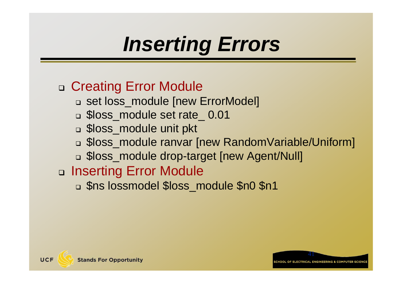# *Inserting Errors*

#### □ Creating Error Module

- set loss\_module [new ErrorModel]
- \$loss\_module set rate\_ 0.01
- \$loss\_module unit pkt
- \$loss\_module ranvar [new RandomVariable/Uniform]
- \$loss\_module drop-target [new Agent/Null]

#### □ Inserting Error Module

\$ns lossmodel \$loss\_module \$n0 \$n1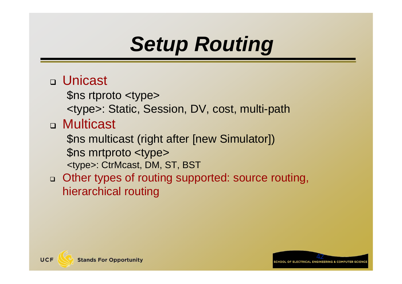# *Setup Routing*

#### Unicast

\$ns rtproto <type>

<type>: Static, Session, DV, cost, multi-path

#### Multicast

\$ns multicast (right after [new Simulator]) \$ns mrtproto <type> <type>: CtrMcast, DM, ST, BST

#### □ Other types of routing supported: source routing, hierarchical routing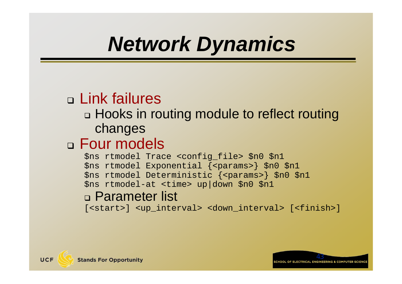# *Network Dynamics*

### Link failures

#### Hooks in routing module to reflect routing changes

#### Four models

\$ns rtmodel Trace <config\_file> \$n0 \$n1 \$ns rtmodel Exponential {<params>} \$n0 \$n1 \$ns rtmodel Deterministic {<params>} \$n0 \$n1 \$ns rtmodel-at <time> up|down \$n0 \$n1

#### Parameter list

[<start>] <up\_interval> <down\_interval> [<finish>]

![](_page_42_Picture_7.jpeg)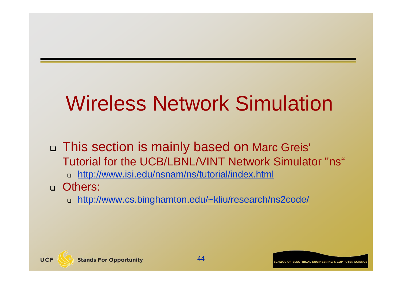# Wireless Network Simulation

□ This section is mainly based on Marc Greis' Tutorial for the UCB/LBNL/VINT Network Simulator "ns"

http://www.isi.edu/nsnam/ns/tutorial/index.html

Others:

UCF

http://www.cs.binghamton.edu/~kliu/research/ns2code/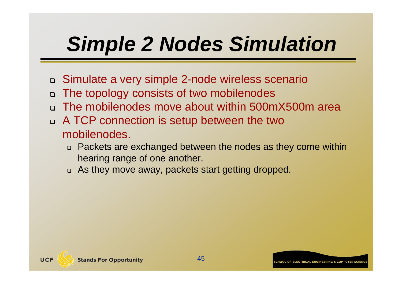# *Simple 2 Nodes Simulation*

- □ Simulate a very simple 2-node wireless scenario
- $\Box$ The topology consists of two mobilenodes
- The mobilenodes move about within 500mX500m area
- A TCP connection is setup between the two mobilenodes.
	- Packets are exchanged between the nodes as they come within hearing range of one another.
	- As they move away, packets start getting dropped.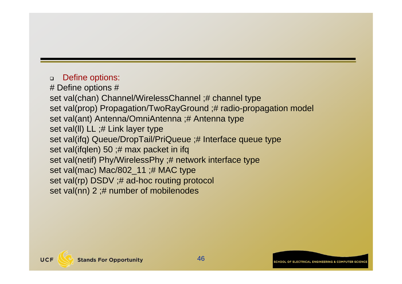#### $\Box$ Define options:

# Define options # set val(chan) Channel/WirelessChannel ;# channel type set val(prop) Propagation/TwoRayGround ;# radio-propagation model set val(ant) Antenna/OmniAntenna ;# Antenna type set val(II) LL ;# Link layer type set val(ifq) Queue/DropTail/PriQueue ;# Interface queue type set val(ifqlen) 50 ;# max packet in ifq set val(netif) Phy/WirelessPhy ;# network interface type set val(mac) Mac/802\_11 ;# MAC type set val(rp) DSDV ;# ad-hoc routing protocol set val(nn) 2 ;# number of mobilenodes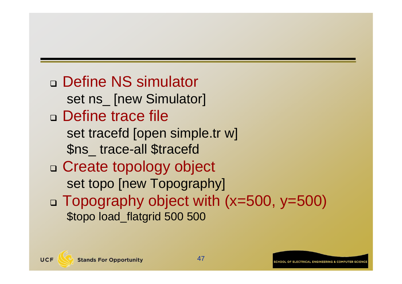Define NS simulator set ns\_ [new Simulator] □ Define trace file set tracefd [open simple.tr w] \$ns\_ trace-all \$tracefd Create topology object set topo [new Topography] Topography object with (x=500, y=500) \$topo load\_flatgrid 500 500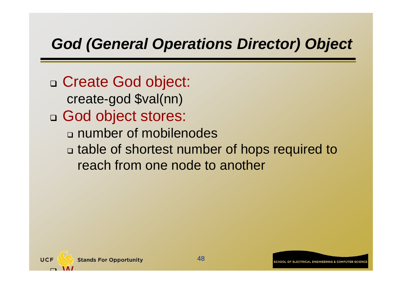### *God (General Operations Director) Object*

□ Create God object: create-god \$val(nn) God object stores: number of mobilenodes table of shortest number of hops required to reach from one node to another

![](_page_47_Picture_2.jpeg)

 $\Box$ 

**VV**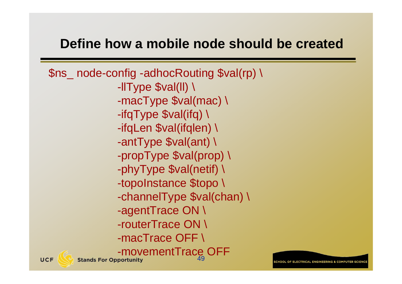#### **Define how a mobile node should be created**

\$ns\_ node-config -adhocRouting \$val(rp) \ -llType \$val(ll) \ -macType \$val(mac) \ -ifqType \$val(ifq) \ -ifqLen \$val(ifqlen) \ -antType \$val(ant) \ -propType \$val(prop) \ -phyType \$val(netif) \ -topoInstance \$topo \ -channelType \$val(chan) \ -agentTrace ON \ -routerTrace ON \ -macTrace OFF \ -movementTrace OFF 49**Stands For Opportunity**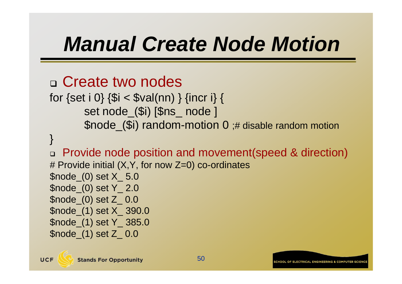# *Manual Create Node Motion*

```
 Create two nodes 
for \{set i 0\} \{Si < \$val(nn) \} \{incri\} {
       set node_($i) [$ns_ node ] 
       $node_($i) random-motion 0 ;# disable random motion 
}
 Provide node position and movement(speed & direction)
# Provide initial (X,Y, for now Z=0) co-ordinates 
$node_(0) set X_ 5.0 
$node_(0) set Y_ 2.0 
$node_(0) set Z_ 0.0 
$node_(1) set X_ 390.0 
$node_(1) set Y_ 385.0 
$node_(1) set Z_ 0.0
```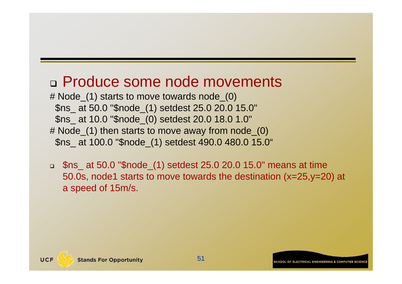#### Produce some node movements

- # Node\_(1) starts to move towards node\_(0) \$ns\_ at 50.0 "\$node\_(1) setdest 25.0 20.0 15.0" \$ns\_ at 10.0 "\$node\_(0) setdest 20.0 18.0 1.0" # Node\_(1) then starts to move away from node\_(0) \$ns\_ at 100.0 "\$node\_(1) setdest 490.0 480.0 15.0"
- \$ns\_ at 50.0 "\$node\_(1) setdest 25.0 20.0 15.0" means at time 50.0s, node1 starts to move towards the destination (x=25,y=20) at a speed of 15m/s.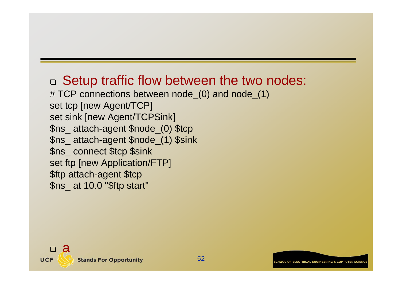#### □ Setup traffic flow between the two nodes: # TCP connections between node\_(0) and node\_(1)

set tcp [new Agent/TCP] set sink [new Agent/TCPSink] \$ns\_ attach-agent \$node\_(0) \$tcp \$ns\_ attach-agent \$node\_(1) \$sink \$ns\_ connect \$tcp \$sink set ftp [new Application/FTP] \$ftp attach-agent \$tcp \$ns\_ at 10.0 "\$ftp start"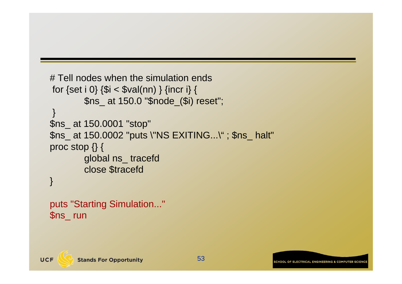```
# Tell nodes when the simulation ends 
for {set i 0} {$i < $val(nn) } {incr i} {
        $ns_ at 150.0 "$node_($i) reset"; 
 } 
$ns_ at 150.0001 "stop" 
$ns_ at 150.0002 "puts \"NS EXITING...\" ; $ns_ halt" 
proc stop {} { 
        global ns_ tracefd 
        close $tracefd 
}
```
puts "Starting Simulation..." \$ns\_ run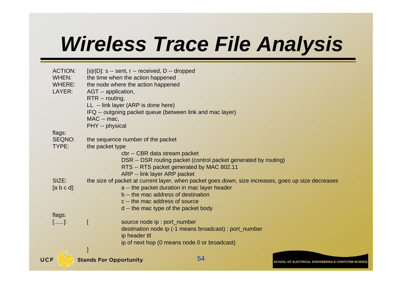# *Wireless Trace File Analysis*

|                                                    |                                                                                                                                                                                                                                                  | ip of next hop (0 means node 0 or broadcast)<br>54                                                                                                                                           |                                                                                                    |
|----------------------------------------------------|--------------------------------------------------------------------------------------------------------------------------------------------------------------------------------------------------------------------------------------------------|----------------------------------------------------------------------------------------------------------------------------------------------------------------------------------------------|----------------------------------------------------------------------------------------------------|
| $[]$ :                                             | ip header ttl                                                                                                                                                                                                                                    | source node ip : port_number<br>destination node ip (-1 means broadcast) : port_number                                                                                                       |                                                                                                    |
| flags:                                             |                                                                                                                                                                                                                                                  | b -- the mac address of destination<br>c -- the mac address of source<br>d -- the mac type of the packet body                                                                                |                                                                                                    |
| SIZE:<br>$[a b c d]$ :                             |                                                                                                                                                                                                                                                  | DSR -- DSR routing packet (control packet generated by routing)<br>RTS -- RTS packet generated by MAC 802.11<br>ARP -- link layer ARP packet<br>a -- the packet duration in mac layer header | the size of packet at current layer, when packet goes down, size increases, goes up size decreases |
| flags:<br>SEQNO:<br>TYPE:                          | the sequence number of the packet<br>the packet type                                                                                                                                                                                             | cbr -- CBR data stream packet                                                                                                                                                                |                                                                                                    |
| <b>ACTION:</b><br>WHEN:<br><b>WHERE:</b><br>LAYER: | $[s r D]$ : s -- sent, r -- received, D -- dropped<br>the time when the action happened<br>the node where the action happened<br>AGT -- application,<br>RTR -- routing,<br>LL -- link layer (ARP is done here)<br>MAC -- mac,<br>PHY -- physical | IFQ -- outgoing packet queue (between link and mac layer)                                                                                                                                    |                                                                                                    |

 $U$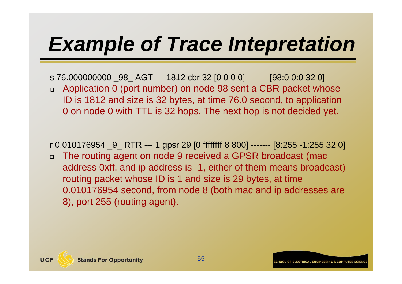# *Example of Trace Intepretation*

- s 76.000000000 \_98\_ AGT --- 1812 cbr 32 [0 0 0 0] ------- [98:0 0:0 32 0]
- □ Application 0 (port number) on node 98 sent a CBR packet whose ID is 1812 and size is 32 bytes, at time 76.0 second, to application 0 on node 0 with TTL is 32 hops. The next hop is not decided yet.

r 0.010176954 \_9\_ RTR --- 1 gpsr 29 [0 ffffffff 8 800] ------- [8:255 -1:255 32 0]

 $\Box$  The routing agent on node 9 received a GPSR broadcast (mac address 0xff, and ip address is -1, either of them means broadcast) routing packet whose ID is 1 and size is 29 bytes, at time 0.010176954 second, from node 8 (both mac and ip addresses are 8), port 255 (routing agent).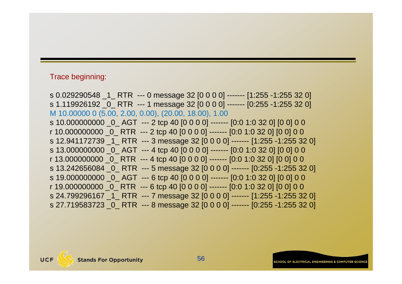#### Trace beginning:

s 0.029290548 \_1\_ RTR --- 0 message 32 [0 0 0 0] ------- [1:255 -1:255 32 0] s 1.119926192 \_0\_ RTR --- 1 message 32 [0 0 0 0] ------- [0:255 -1:255 32 0] M 10.00000 0 (5.00, 2.00, 0.00), (20.00, 18.00), 1.00 s 10.000000000 0 AGT --- 2 tcp 40 [0 0 0 0] ------- [0:0 1:0 32 0] [0 0] 0 0 r 10.000000000 \_0\_ RTR --- 2 tcp 40 [0 0 0 0] ------- [0:0 1:0 32 0] [0 0] 0 0 s 12.941172739 \_1\_ RTR --- 3 message 32 [0 0 0 0] ------- [1:255 -1:255 32 0] s 13.000000000 0 AGT --- 4 tcp 40 [0 0 0 0] ------- [0:0 1:0 32 0] [0 0] 0 0 r 13.000000000  $\overline{0}$  RTR --- 4 tcp 40  $[0\ 0\ 0\ 0]$  -------  $[0:0\ 1:0\ 32\ 0]$   $[0\ 0]$  0 0 s 13.242656084 0 RTR --- 5 message 32 [0 0 0 0] ------- [0:255 -1:255 32 0] s 19.000000000 \_0\_ AGT --- 6 tcp 40 [0 0 0 0] ------- [0:0 1:0 32 0] [0 0] 0 0 r 19.000000000 \_0\_ RTR --- 6 tcp 40 [0 0 0 0] ------- [0:0 1:0 32 0] [0 0] 0 0 s 24.799296167 1 RTR --- 7 message 32 [0 0 0 0] ------- [1:255 -1:255 32 0] s 27.719583723 \_0\_ RTR --- 8 message 32 [0 0 0 0] ------- [0:255 -1:255 32 0]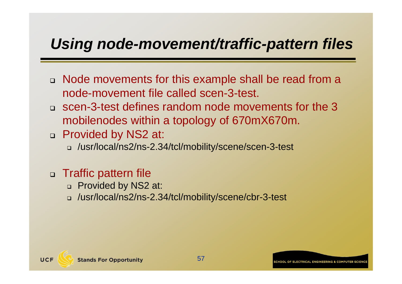#### *Using node-movement/traffic-pattern files*

- □ Node movements for this example shall be read from a node-movement file called scen-3-test.
- scen-3-test defines random node movements for the 3 mobilenodes within a topology of 670mX670m.
- □ Provided by NS2 at:
	- /usr/local/ns2/ns-2.34/tcl/mobility/scene/scen-3-test

#### □ Traffic pattern file

- □ Provided by NS2 at:
- /usr/local/ns2/ns-2.34/tcl/mobility/scene/cbr-3-test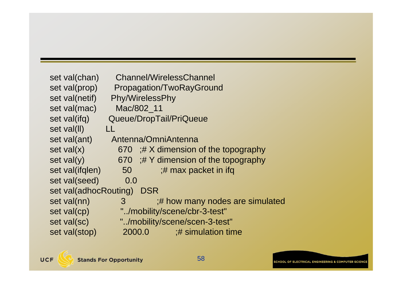```
set val(chan) Channel/WirelessChannel
set val(prop) Propagation/TwoRayGround
set val(netif) Phy/WirelessPhy
set val(mac) Mac/802_11
set val(ifq) Queue/DropTail/PriQueue
set val(ll) LL
set val(ant) Antenna/OmniAntenna
set val(x) 670 ;# X dimension of the topography
set val(y) 670 ;# Y dimension of the topography
set val(ifqlen) 50 ;# max packet in ifq
set val(seed) 0.0
set val(adhocRouting) DSR
set val(nn) 3 ;# how many nodes are simulated
set val(cp) \blacksquare./mobility/scene/cbr-3-test"
set val(sc) ".../mobility/scene/scen-3-test"
set val(stop) 2000.0 ;# simulation time
```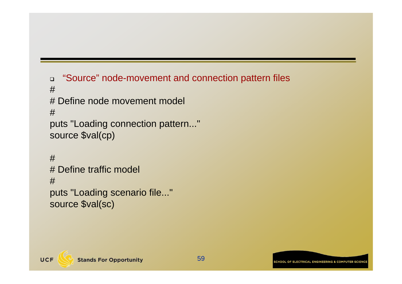```
\Box "Source" node-movement and connection pattern files
# # Define node movement model
#puts "Loading connection pattern..."
source $val(cp)
# # Define traffic model
```

```
#
```

```
puts "Loading scenario file..."
source $val(sc)
```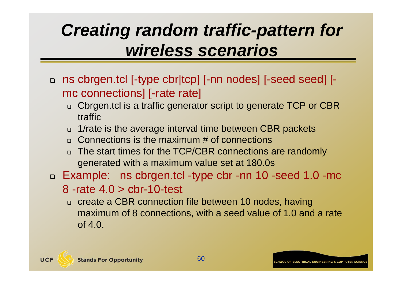### *Creating random traffic-pattern for wireless scenarios*

- ns cbrgen.tcl [-type cbr|tcp] [-nn nodes] [-seed seed] [ mc connections] [-rate rate]
	- □ Cbrgen.tcl is a traffic generator script to generate TCP or CBR traffic
	- 1/rate is the average interval time between CBR packets
	- Connections is the maximum # of connections
	- □ The start times for the TCP/CBR connections are randomly generated with a maximum value set at 180.0s
- Example: ns cbrgen.tcl -type cbr -nn 10 -seed 1.0 -mc
	- 8 -rate 4.0 > cbr-10-test
	- □ create a CBR connection file between 10 nodes, having maximum of 8 connections, with a seed value of 1.0 and a rate of  $4.0$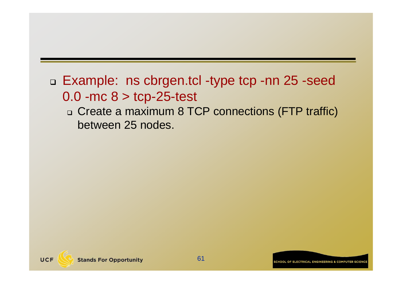### □ Example: ns cbrgen.tcl -type tcp -nn 25 -seed 0.0 - mc  $8 >$  tcp-25-test

#### □ Create a maximum 8 TCP connections (FTP traffic) between 25 nodes.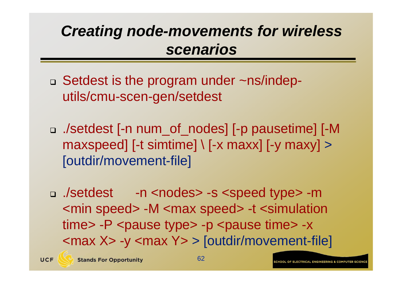### *Creating node-movements for wireless scenarios*

- □ Setdest is the program under ~ns/indeputils/cmu-scen-gen/setdest
- ./setdest [-n num\_of\_nodes] [-p pausetime] [-M  $maxspeed$  [-t simtime]  $\lceil$  [-x maxx] [-y maxy] > [outdir/movement-file]
- ./setdest -n <nodes> -s <speed type> -m <min speed> -M <max speed> -t <simulation time> -P <pause type> -p <pause time> -x <max X> -y <max Y> > [outdir/movement-file]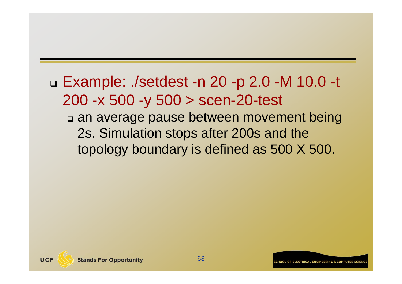### Example: ./setdest -n 20 -p 2.0 -M 10.0 -t 200 -x 500 -y 500 > scen-20-test

#### an average pause between movement being 2s. Simulation stops after 200s and the topology boundary is defined as 500 X 500.